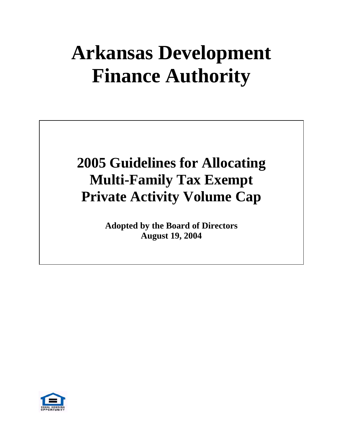# **Arkansas Development Finance Authority**

# **2005 Guidelines for Allocating Multi-Family Tax Exempt Private Activity Volume Cap**

**Adopted by the Board of Directors August 19, 2004**

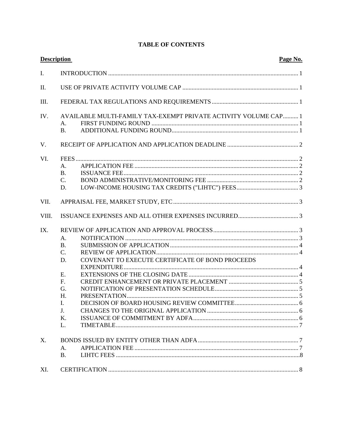| <b>Description</b> |                                                                                                                                                          | Page No. |
|--------------------|----------------------------------------------------------------------------------------------------------------------------------------------------------|----------|
| I.                 |                                                                                                                                                          |          |
| Π.                 |                                                                                                                                                          |          |
| III.               |                                                                                                                                                          |          |
| IV.                | AVAILABLE MULTI-FAMILY TAX-EXEMPT PRIVATE ACTIVITY VOLUME CAP 1<br>A.<br><b>B.</b>                                                                       |          |
| $V_{\cdot}$        |                                                                                                                                                          |          |
| VI.                | A.<br><b>B.</b><br>$C_{\cdot}$<br>D.                                                                                                                     |          |
| VII.               |                                                                                                                                                          |          |
| VIII.              |                                                                                                                                                          |          |
| IX.                | A.<br><b>B.</b><br>$\mathcal{C}$ .<br>COVENANT TO EXECUTE CERTIFICATE OF BOND PROCEEDS<br>D.<br>E.<br>F <sub>r</sub><br>G.<br>H.<br>I.<br>J.<br>K.<br>L. |          |
| X.                 | A <sub>1</sub><br><b>B.</b>                                                                                                                              |          |
| XI.                |                                                                                                                                                          |          |

# **TABLE OF CONTENTS**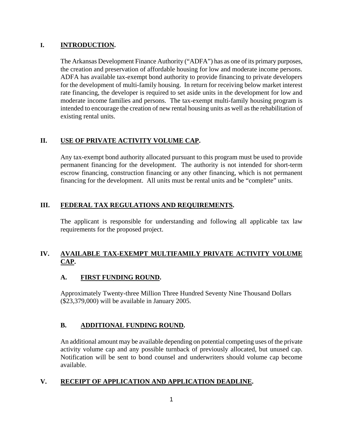# **I. INTRODUCTION.**

The Arkansas Development Finance Authority ("ADFA") has as one of its primary purposes, the creation and preservation of affordable housing for low and moderate income persons. ADFA has available tax-exempt bond authority to provide financing to private developers for the development of multi-family housing. In return for receiving below market interest rate financing, the developer is required to set aside units in the development for low and moderate income families and persons. The tax-exempt multi-family housing program is intended to encourage the creation of new rental housing units as well as the rehabilitation of existing rental units.

# **II. USE OF PRIVATE ACTIVITY VOLUME CAP.**

Any tax-exempt bond authority allocated pursuant to this program must be used to provide permanent financing for the development. The authority is not intended for short-term escrow financing, construction financing or any other financing, which is not permanent financing for the development. All units must be rental units and be "complete" units.

# **III. FEDERAL TAX REGULATIONS AND REQUIREMENTS.**

The applicant is responsible for understanding and following all applicable tax law requirements for the proposed project.

# **IV. AVAILABLE TAX-EXEMPT MULTIFAMILY PRIVATE ACTIVITY VOLUME CAP.**

# **A. FIRST FUNDING ROUND.**

Approximately Twenty-three Million Three Hundred Seventy Nine Thousand Dollars (\$23,379,000) will be available in January 2005.

# **B. ADDITIONAL FUNDING ROUND.**

An additional amount may be available depending on potential competing uses of the private activity volume cap and any possible turnback of previously allocated, but unused cap. Notification will be sent to bond counsel and underwriters should volume cap become available.

# **V. RECEIPT OF APPLICATION AND APPLICATION DEADLINE.**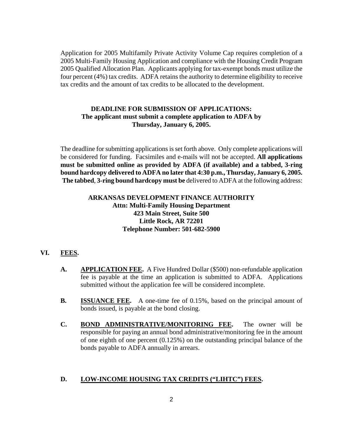Application for 2005 Multifamily Private Activity Volume Cap requires completion of a 2005 Multi-Family Housing Application and compliance with the Housing Credit Program 2005 Qualified Allocation Plan. Applicants applying for tax-exempt bonds must utilize the four percent (4%) tax credits. ADFA retains the authority to determine eligibility to receive tax credits and the amount of tax credits to be allocated to the development.

# **DEADLINE FOR SUBMISSION OF APPLICATIONS: The applicant must submit a complete application to ADFA by Thursday, January 6, 2005.**

The deadline for submitting applications is set forth above. Only complete applications will be considered for funding. Facsimiles and e-mails will not be accepted. **All applications must be submitted online as provided by ADFA (if available) and a tabbed, 3-ring bound hardcopy delivered to ADFA no later that 4:30 p.m., Thursday, January 6, 2005. The tabbed**, **3-ring bound hardcopy must be** delivered to ADFA at the following address:

#### **ARKANSAS DEVELOPMENT FINANCE AUTHORITY Attn: Multi-Family Housing Department 423 Main Street, Suite 500 Little Rock, AR 72201 Telephone Number: 501-682-5900**

#### **VI. FEES.**

- **A. APPLICATION FEE.** A Five Hundred Dollar (\$500) non-refundable application fee is payable at the time an application is submitted to ADFA. Applications submitted without the application fee will be considered incomplete.
- **B. ISSUANCE FEE.** A one-time fee of 0.15%, based on the principal amount of bonds issued, is payable at the bond closing.
- **C. BOND ADMINISTRATIVE/MONITORING FEE.** The owner will be responsible for paying an annual bond administrative/monitoring fee in the amount of one eighth of one percent (0.125%) on the outstanding principal balance of the bonds payable to ADFA annually in arrears.

#### **D. LOW-INCOME HOUSING TAX CREDITS ("LIHTC") FEES.**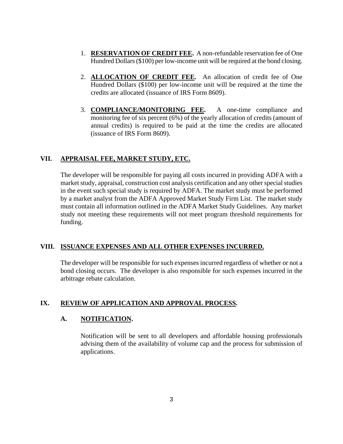- 1. **RESERVATION OF CREDIT FEE.** A non-refundable reservation fee of One Hundred Dollars (\$100) per low-income unit will be required at the bond closing.
- 2. **ALLOCATION OF CREDIT FEE.** An allocation of credit fee of One Hundred Dollars (\$100) per low-income unit will be required at the time the credits are allocated (issuance of IRS Form 8609).
- 3. **COMPLIANCE/MONITORING FEE.** A one-time compliance and monitoring fee of six percent (6%) of the yearly allocation of credits (amount of annual credits) is required to be paid at the time the credits are allocated (issuance of IRS Form 8609).

# **VII. APPRAISAL FEE, MARKET STUDY, ETC.**

The developer will be responsible for paying all costs incurred in providing ADFA with a market study, appraisal, construction cost analysis certification and any other special studies in the event such special study is required by ADFA. The market study must be performed by a market analyst from the ADFA Approved Market Study Firm List. The market study must contain all information outlined in the ADFA Market Study Guidelines. Any market study not meeting these requirements will not meet program threshold requirements for funding.

# **VIII. ISSUANCE EXPENSES AND ALL OTHER EXPENSES INCURRED.**

The developer will be responsible for such expenses incurred regardless of whether or not a bond closing occurs. The developer is also responsible for such expenses incurred in the arbitrage rebate calculation.

# **IX. REVIEW OF APPLICATION AND APPROVAL PROCESS.**

# **A. NOTIFICATION.**

Notification will be sent to all developers and affordable housing professionals advising them of the availability of volume cap and the process for submission of applications.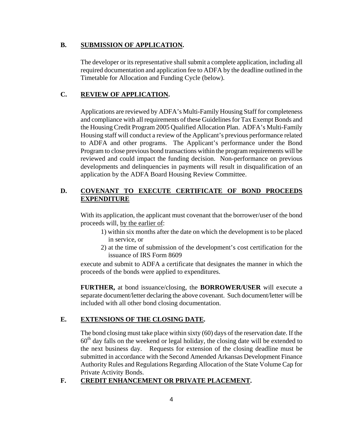#### **B. SUBMISSION OF APPLICATION.**

The developer or its representative shall submit a complete application, including all required documentation and application fee to ADFA by the deadline outlined in the Timetable for Allocation and Funding Cycle (below).

#### **C. REVIEW OF APPLICATION.**

Applications are reviewed by ADFA's Multi-Family Housing Staff for completeness and compliance with all requirements of these Guidelines for Tax Exempt Bonds and the Housing Credit Program 2005 Qualified Allocation Plan. ADFA's Multi-Family Housing staff will conduct a review of the Applicant's previous performance related to ADFA and other programs. The Applicant's performance under the Bond Program to close previous bond transactions within the program requirements will be reviewed and could impact the funding decision. Non-performance on previous developments and delinquencies in payments will result in disqualification of an application by the ADFA Board Housing Review Committee.

# **D. COVENANT TO EXECUTE CERTIFICATE OF BOND PROCEEDS EXPENDITURE**

With its application, the applicant must covenant that the borrower/user of the bond proceeds will, by the earlier of:

- 1) within six months after the date on which the development is to be placed in service, or
- 2) at the time of submission of the development's cost certification for the issuance of IRS Form 8609

execute and submit to ADFA a certificate that designates the manner in which the proceeds of the bonds were applied to expenditures.

**FURTHER,** at bond issuance/closing, the **BORROWER/USER** will execute a separate document/letter declaring the above covenant. Such document/letter will be included with all other bond closing documentation.

#### **E. EXTENSIONS OF THE CLOSING DATE.**

The bond closing must take place within sixty (60) days of the reservation date. If the  $60<sup>th</sup>$  day falls on the weekend or legal holiday, the closing date will be extended to the next business day. Requests for extension of the closing deadline must be submitted in accordance with the Second Amended Arkansas Development Finance Authority Rules and Regulations Regarding Allocation of the State Volume Cap for Private Activity Bonds.

#### **F. CREDIT ENHANCEMENT OR PRIVATE PLACEMENT.**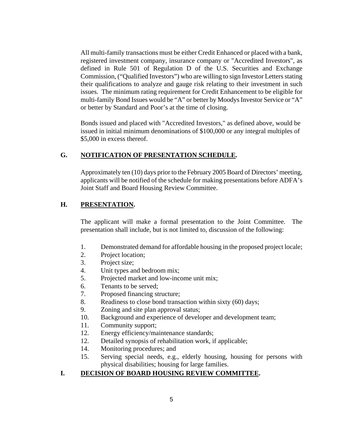All multi-family transactions must be either Credit Enhanced or placed with a bank, registered investment company, insurance company or "Accredited Investors", as defined in Rule 501 of Regulation D of the U.S. Securities and Exchange Commission, ("Qualified Investors") who are willing to sign Investor Letters stating their qualifications to analyze and gauge risk relating to their investment in such issues. The minimum rating requirement for Credit Enhancement to be eligible for multi-family Bond Issues would be "A" or better by Moodys Investor Service or "A" or better by Standard and Poor's at the time of closing.

Bonds issued and placed with "Accredited Investors," as defined above, would be issued in initial minimum denominations of \$100,000 or any integral multiples of \$5,000 in excess thereof.

#### **G. NOTIFICATION OF PRESENTATION SCHEDULE.**

Approximately ten (10) days prior to the February 2005 Board of Directors' meeting, applicants will be notified of the schedule for making presentations before ADFA's Joint Staff and Board Housing Review Committee.

#### **H. PRESENTATION.**

The applicant will make a formal presentation to the Joint Committee. The presentation shall include, but is not limited to, discussion of the following:

- 1. Demonstrated demand for affordable housing in the proposed project locale;
- 2. Project location;
- 3. Project size;
- 4. Unit types and bedroom mix;
- 5. Projected market and low-income unit mix;
- 6. Tenants to be served;
- 7. Proposed financing structure;
- 8. Readiness to close bond transaction within sixty (60) days;
- 9. Zoning and site plan approval status;
- 10. Background and experience of developer and development team;
- 11. Community support;
- 12. Energy efficiency/maintenance standards;
- 12. Detailed synopsis of rehabilitation work, if applicable;
- 14. Monitoring procedures; and
- 15. Serving special needs, e.g., elderly housing, housing for persons with physical disabilities; housing for large families.

#### **I. DECISION OF BOARD HOUSING REVIEW COMMITTEE.**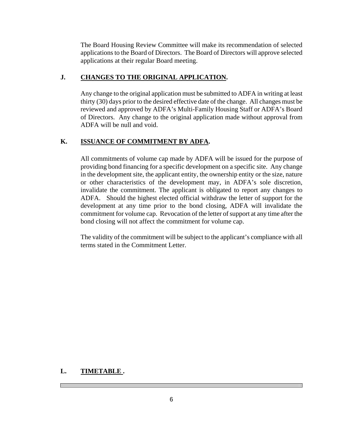The Board Housing Review Committee will make its recommendation of selected applications to the Board of Directors. The Board of Directors will approve selected applications at their regular Board meeting.

#### **J. CHANGES TO THE ORIGINAL APPLICATION.**

Any change to the original application must be submitted to ADFA in writing at least thirty (30) days prior to the desired effective date of the change. All changes must be reviewed and approved by ADFA's Multi-Family Housing Staff or ADFA's Board of Directors. Any change to the original application made without approval from ADFA will be null and void.

#### **K. ISSUANCE OF COMMITMENT BY ADFA.**

All commitments of volume cap made by ADFA will be issued for the purpose of providing bond financing for a specific development on a specific site. Any change in the development site, the applicant entity, the ownership entity or the size, nature or other characteristics of the development may, in ADFA's sole discretion, invalidate the commitment. The applicant is obligated to report any changes to ADFA. Should the highest elected official withdraw the letter of support for the development at any time prior to the bond closing, ADFA will invalidate the commitment for volume cap. Revocation of the letter of support at any time after the bond closing will not affect the commitment for volume cap.

The validity of the commitment will be subject to the applicant's compliance with all terms stated in the Commitment Letter.

#### **L. TIMETABLE .**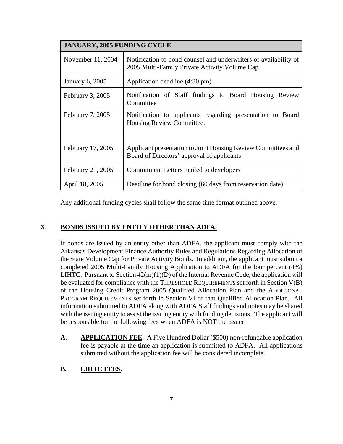| <b>JANUARY, 2005 FUNDING CYCLE</b> |                                                                                                                   |  |  |
|------------------------------------|-------------------------------------------------------------------------------------------------------------------|--|--|
| November 11, 2004                  | Notification to bond counsel and underwriters of availability of<br>2005 Multi-Family Private Activity Volume Cap |  |  |
| January 6, 2005                    | Application deadline (4:30 pm)                                                                                    |  |  |
| February $3, 2005$                 | Notification of Staff findings to Board Housing Review<br>Committee                                               |  |  |
| February 7, 2005                   | Notification to applicants regarding presentation to Board<br>Housing Review Committee.                           |  |  |
| February 17, 2005                  | Applicant presentation to Joint Housing Review Committees and<br>Board of Directors' approval of applicants       |  |  |
| February 21, 2005                  | Commitment Letters mailed to developers                                                                           |  |  |
| April 18, 2005                     | Deadline for bond closing (60 days from reservation date)                                                         |  |  |

Any additional funding cycles shall follow the same time format outlined above.

# **X. BONDS ISSUED BY ENTITY OTHER THAN ADFA.**

If bonds are issued by an entity other than ADFA, the applicant must comply with the Arkansas Development Finance Authority Rules and Regulations Regarding Allocation of the State Volume Cap for Private Activity Bonds. In addition, the applicant must submit a completed 2005 Multi-Family Housing Application to ADFA for the four percent (4%) LIHTC. Pursuant to Section  $42(m)(1)(D)$  of the Internal Revenue Code, the application will be evaluated for compliance with the THRESHOLD REQUIREMENTS set forth in Section V(B) of the Housing Credit Program 2005 Qualified Allocation Plan and the ADDITIONAL PROGRAM REQUIREMENTS set forth in Section VI of that Qualified Allocation Plan. All information submitted to ADFA along with ADFA Staff findings and notes may be shared with the issuing entity to assist the issuing entity with funding decisions. The applicant will be responsible for the following fees when ADFA is NOT the issuer:

**A. APPLICATION FEE.** A Five Hundred Dollar (\$500) non-refundable application fee is payable at the time an application is submitted to ADFA. All applications submitted without the application fee will be considered incomplete.

# **B. LIHTC FEES.**